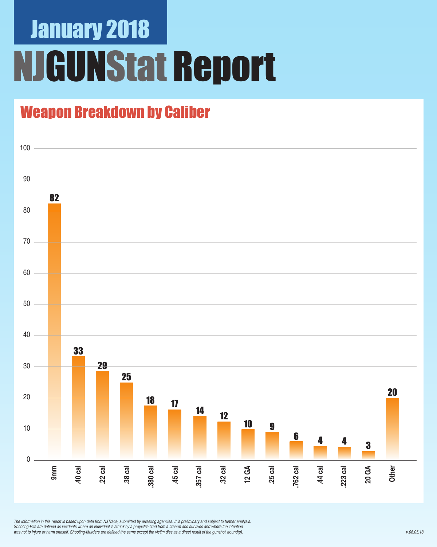## January 2018 NJGUNStat Report

### Weapon Breakdown by Caliber



*The information in this report is based upon data from NJTrace, submitted by arresting agencies. It is preliminary and subject to further analysis.*  Shooting-Hits are defined as incidents where an individual is struck by a projectile fired from a firearm and survives and where the intention was not to injure or harm oneself. Shooting-Murders are defined the same except the victim dies as a direct result of the gunshot wound(s).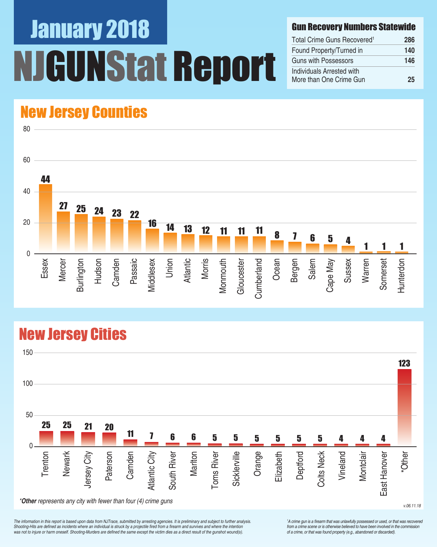## January 2018 UNStat Report

#### Gun Recovery Numbers Statewide

| Total Crime Guns Recovered <sup>1</sup>              | 286 |
|------------------------------------------------------|-----|
| Found Property/Turned in                             | 140 |
| Guns with Possessors                                 | 146 |
| Individuals Arrested with<br>More than One Crime Gun | 25  |

### New Jersey Counties



### New Jersey Cities



*The information in this report is based upon data from NJTrace, submitted by arresting agencies. It is preliminary and subject to further analysis.*  Shooting-Hits are defined as incidents where an individual is struck by a projectile fired from a firearm and survives and where the intention was not to injure or harm oneself. Shooting-Murders are defined the same except the victim dies as a direct result of the gunshot wound(s).

<sup>1</sup>A crime gun is a firearm that was unlawfully possessed or used, or that was recovered from a crime scene or is otherwise believed to have been involved in the commission *of a crime, or that was found property (e.g., abandoned or discarded).*

v.06.11.18